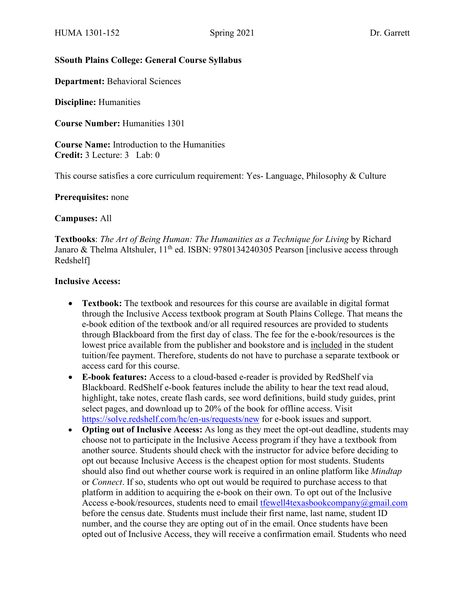### **SSouth Plains College: General Course Syllabus**

**Department:** Behavioral Sciences

**Discipline:** Humanities

**Course Number:** Humanities 1301

**Course Name:** Introduction to the Humanities **Credit:** 3 Lecture: 3 Lab: 0

This course satisfies a core curriculum requirement: Yes- Language, Philosophy & Culture

**Prerequisites:** none

**Campuses:** All

**Textbooks**: *The Art of Being Human: The Humanities as a Technique for Living* by Richard Janaro & Thelma Altshuler,  $11<sup>th</sup>$  ed. ISBN: 9780134240305 Pearson [inclusive access through Redshelf]

#### **Inclusive Access:**

- **Textbook:** The textbook and resources for this course are available in digital format through the Inclusive Access textbook program at South Plains College. That means the e-book edition of the textbook and/or all required resources are provided to students through Blackboard from the first day of class. The fee for the e-book/resources is the lowest price available from the publisher and bookstore and is included in the student tuition/fee payment. Therefore, students do not have to purchase a separate textbook or access card for this course.
- **E-book features:** Access to a cloud-based e-reader is provided by RedShelf via Blackboard. RedShelf e-book features include the ability to hear the text read aloud, highlight, take notes, create flash cards, see word definitions, build study guides, print select pages, and download up to 20% of the book for offline access. Visit <https://solve.redshelf.com/hc/en-us/requests/new> for e-book issues and support.
- **Opting out of Inclusive Access:** As long as they meet the opt-out deadline, students may choose not to participate in the Inclusive Access program if they have a textbook from another source. Students should check with the instructor for advice before deciding to opt out because Inclusive Access is the cheapest option for most students. Students should also find out whether course work is required in an online platform like *Mindtap* or *Connect*. If so, students who opt out would be required to purchase access to that platform in addition to acquiring the e-book on their own. To opt out of the Inclusive Access e-book/resources, students need to email [tfewell4texasbookcompany@gmail.com](mailto:tfewell4texasbookcompany@gmail.com) before the census date. Students must include their first name, last name, student ID number, and the course they are opting out of in the email. Once students have been opted out of Inclusive Access, they will receive a confirmation email. Students who need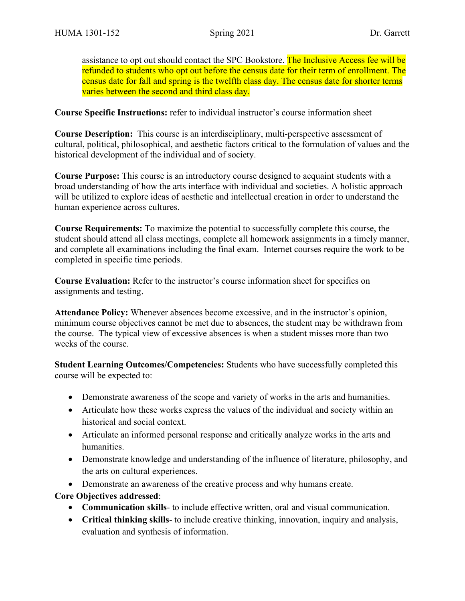assistance to opt out should contact the SPC Bookstore. The Inclusive Access fee will be refunded to students who opt out before the census date for their term of enrollment. The census date for fall and spring is the twelfth class day. The census date for shorter terms varies between the second and third class day.

**Course Specific Instructions:** refer to individual instructor's course information sheet

**Course Description:** This course is an interdisciplinary, multi-perspective assessment of cultural, political, philosophical, and aesthetic factors critical to the formulation of values and the historical development of the individual and of society.

**Course Purpose:** This course is an introductory course designed to acquaint students with a broad understanding of how the arts interface with individual and societies. A holistic approach will be utilized to explore ideas of aesthetic and intellectual creation in order to understand the human experience across cultures.

**Course Requirements:** To maximize the potential to successfully complete this course, the student should attend all class meetings, complete all homework assignments in a timely manner, and complete all examinations including the final exam. Internet courses require the work to be completed in specific time periods.

**Course Evaluation:** Refer to the instructor's course information sheet for specifics on assignments and testing.

**Attendance Policy:** Whenever absences become excessive, and in the instructor's opinion, minimum course objectives cannot be met due to absences, the student may be withdrawn from the course. The typical view of excessive absences is when a student misses more than two weeks of the course.

**Student Learning Outcomes/Competencies:** Students who have successfully completed this course will be expected to:

- Demonstrate awareness of the scope and variety of works in the arts and humanities.
- Articulate how these works express the values of the individual and society within an historical and social context.
- Articulate an informed personal response and critically analyze works in the arts and humanities.
- Demonstrate knowledge and understanding of the influence of literature, philosophy, and the arts on cultural experiences.
- Demonstrate an awareness of the creative process and why humans create.

# **Core Objectives addressed**:

- **Communication skills** to include effective written, oral and visual communication.
- **Critical thinking skills** to include creative thinking, innovation, inquiry and analysis, evaluation and synthesis of information.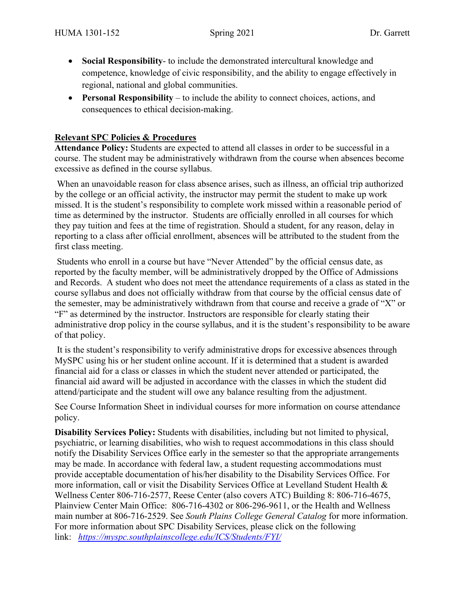- **Social Responsibility** to include the demonstrated intercultural knowledge and competence, knowledge of civic responsibility, and the ability to engage effectively in regional, national and global communities.
- **Personal Responsibility** to include the ability to connect choices, actions, and consequences to ethical decision-making.

### **Relevant SPC Policies & Procedures**

**Attendance Policy:** Students are expected to attend all classes in order to be successful in a course. The student may be administratively withdrawn from the course when absences become excessive as defined in the course syllabus.

When an unavoidable reason for class absence arises, such as illness, an official trip authorized by the college or an official activity, the instructor may permit the student to make up work missed. It is the student's responsibility to complete work missed within a reasonable period of time as determined by the instructor. Students are officially enrolled in all courses for which they pay tuition and fees at the time of registration. Should a student, for any reason, delay in reporting to a class after official enrollment, absences will be attributed to the student from the first class meeting.

Students who enroll in a course but have "Never Attended" by the official census date, as reported by the faculty member, will be administratively dropped by the Office of Admissions and Records. A student who does not meet the attendance requirements of a class as stated in the course syllabus and does not officially withdraw from that course by the official census date of the semester, may be administratively withdrawn from that course and receive a grade of "X" or "F" as determined by the instructor. Instructors are responsible for clearly stating their administrative drop policy in the course syllabus, and it is the student's responsibility to be aware of that policy.

It is the student's responsibility to verify administrative drops for excessive absences through MySPC using his or her student online account. If it is determined that a student is awarded financial aid for a class or classes in which the student never attended or participated, the financial aid award will be adjusted in accordance with the classes in which the student did attend/participate and the student will owe any balance resulting from the adjustment.

See Course Information Sheet in individual courses for more information on course attendance policy.

**Disability Services Policy:** Students with disabilities, including but not limited to physical, psychiatric, or learning disabilities, who wish to request accommodations in this class should notify the Disability Services Office early in the semester so that the appropriate arrangements may be made. In accordance with federal law, a student requesting accommodations must provide acceptable documentation of his/her disability to the Disability Services Office. For more information, call or visit the Disability Services Office at Levelland Student Health & Wellness Center 806-716-2577, Reese Center (also covers ATC) Building 8: 806-716-4675, Plainview Center Main Office: 806-716-4302 or 806-296-9611, or the Health and Wellness main number at 806-716-2529. See *South Plains College General Catalog* for more information. For more information about SPC Disability Services, please click on the following link: *<https://myspc.southplainscollege.edu/ICS/Students/FYI/>*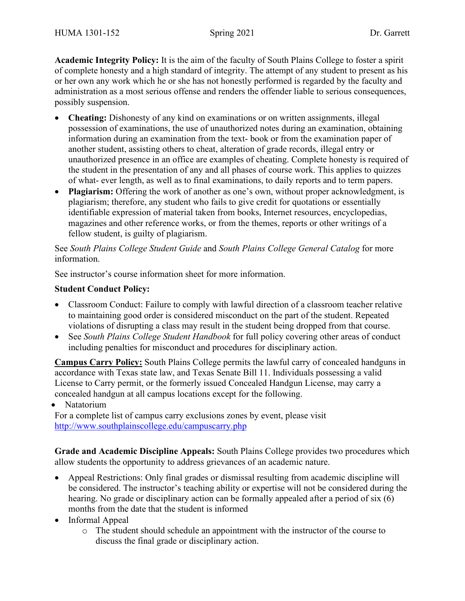**Academic Integrity Policy:** It is the aim of the faculty of South Plains College to foster a spirit of complete honesty and a high standard of integrity. The attempt of any student to present as his or her own any work which he or she has not honestly performed is regarded by the faculty and administration as a most serious offense and renders the offender liable to serious consequences, possibly suspension.

- **Cheating:** Dishonesty of any kind on examinations or on written assignments, illegal possession of examinations, the use of unauthorized notes during an examination, obtaining information during an examination from the text- book or from the examination paper of another student, assisting others to cheat, alteration of grade records, illegal entry or unauthorized presence in an office are examples of cheating. Complete honesty is required of the student in the presentation of any and all phases of course work. This applies to quizzes of what- ever length, as well as to final examinations, to daily reports and to term papers.
- **Plagiarism:** Offering the work of another as one's own, without proper acknowledgment, is plagiarism; therefore, any student who fails to give credit for quotations or essentially identifiable expression of material taken from books, Internet resources, encyclopedias, magazines and other reference works, or from the themes, reports or other writings of a fellow student, is guilty of plagiarism.

See *South Plains College Student Guide* and *South Plains College General Catalog* for more information.

See instructor's course information sheet for more information.

#### **Student Conduct Policy:**

- Classroom Conduct: Failure to comply with lawful direction of a classroom teacher relative to maintaining good order is considered misconduct on the part of the student. Repeated violations of disrupting a class may result in the student being dropped from that course.
- See *South Plains College Student Handbook* for full policy covering other areas of conduct including penalties for misconduct and procedures for disciplinary action.

**Campus Carry Policy:** South Plains College permits the lawful carry of concealed handguns in accordance with Texas state law, and Texas Senate Bill 11. Individuals possessing a valid License to Carry permit, or the formerly issued Concealed Handgun License, may carry a concealed handgun at all campus locations except for the following.

• Natatorium

For a complete list of campus carry exclusions zones by event, please visit <http://www.southplainscollege.edu/campuscarry.php>

**Grade and Academic Discipline Appeals:** South Plains College provides two procedures which allow students the opportunity to address grievances of an academic nature.

- Appeal Restrictions: Only final grades or dismissal resulting from academic discipline will be considered. The instructor's teaching ability or expertise will not be considered during the hearing. No grade or disciplinary action can be formally appealed after a period of six (6) months from the date that the student is informed
- Informal Appeal
	- o The student should schedule an appointment with the instructor of the course to discuss the final grade or disciplinary action.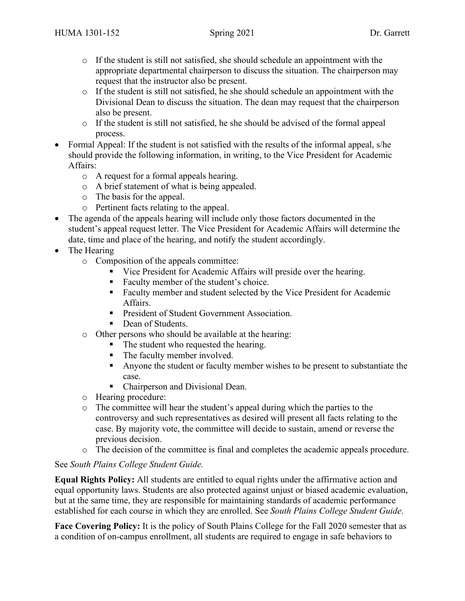- $\circ$  If the student is still not satisfied, she should schedule an appointment with the appropriate departmental chairperson to discuss the situation. The chairperson may request that the instructor also be present.
- o If the student is still not satisfied, he she should schedule an appointment with the Divisional Dean to discuss the situation. The dean may request that the chairperson also be present.
- o If the student is still not satisfied, he she should be advised of the formal appeal process.
- Formal Appeal: If the student is not satisfied with the results of the informal appeal, s/he should provide the following information, in writing, to the Vice President for Academic Affairs:
	- o A request for a formal appeals hearing.
	- o A brief statement of what is being appealed.
	- o The basis for the appeal.
	- o Pertinent facts relating to the appeal.
- The agenda of the appeals hearing will include only those factors documented in the student's appeal request letter. The Vice President for Academic Affairs will determine the date, time and place of the hearing, and notify the student accordingly.
- The Hearing
	- o Composition of the appeals committee:
		- Vice President for Academic Affairs will preside over the hearing.
		- Faculty member of the student's choice.
		- Faculty member and student selected by the Vice President for Academic Affairs.
		- **President of Student Government Association.**
		- Dean of Students.
	- o Other persons who should be available at the hearing:
		- The student who requested the hearing.
		- The faculty member involved.
		- Anyone the student or faculty member wishes to be present to substantiate the case.
		- Chairperson and Divisional Dean.
	- o Hearing procedure:
	- o The committee will hear the student's appeal during which the parties to the controversy and such representatives as desired will present all facts relating to the case. By majority vote, the committee will decide to sustain, amend or reverse the previous decision.
	- o The decision of the committee is final and completes the academic appeals procedure.

# See *South Plains College Student Guide.*

**Equal Rights Policy:** All students are entitled to equal rights under the affirmative action and equal opportunity laws. Students are also protected against unjust or biased academic evaluation, but at the same time, they are responsible for maintaining standards of academic performance established for each course in which they are enrolled. See *South Plains College Student Guide*.

**Face Covering Policy:** It is the policy of South Plains College for the Fall 2020 semester that as a condition of on-campus enrollment, all students are required to engage in safe behaviors to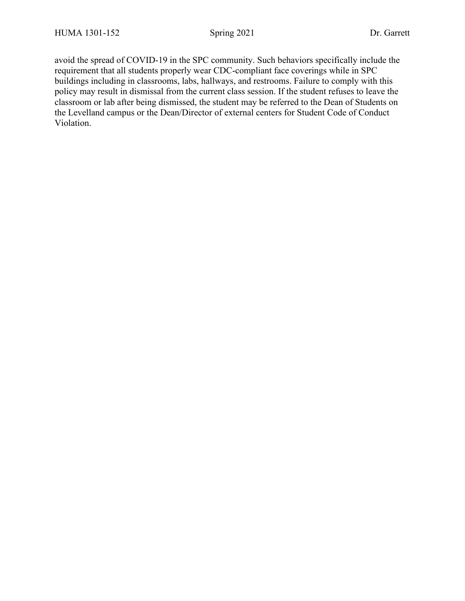avoid the spread of COVID-19 in the SPC community. Such behaviors specifically include the requirement that all students properly wear CDC-compliant face coverings while in SPC buildings including in classrooms, labs, hallways, and restrooms. Failure to comply with this policy may result in dismissal from the current class session. If the student refuses to leave the classroom or lab after being dismissed, the student may be referred to the Dean of Students on the Levelland campus or the Dean/Director of external centers for Student Code of Conduct Violation.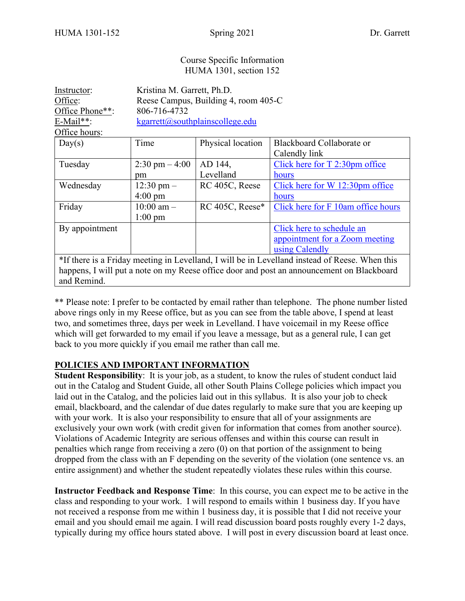and Remind.

#### Course Specific Information HUMA 1301, section 152

| Instructor:                                                                                    | Kristina M. Garrett, Ph.D.           |                   |                                    |  |  |
|------------------------------------------------------------------------------------------------|--------------------------------------|-------------------|------------------------------------|--|--|
| Office:                                                                                        | Reese Campus, Building 4, room 405-C |                   |                                    |  |  |
| Office Phone**:                                                                                | 806-716-4732                         |                   |                                    |  |  |
| $E$ -Mail**:                                                                                   | kgarrett@southplainscollege.edu      |                   |                                    |  |  |
| Office hours:                                                                                  |                                      |                   |                                    |  |  |
| Day(s)                                                                                         | Time                                 | Physical location | Blackboard Collaborate or          |  |  |
|                                                                                                |                                      |                   | Calendly link                      |  |  |
| Tuesday                                                                                        | $2:30 \text{ pm} - 4:00$             | AD 144,           | Click here for $T$ 2:30pm office   |  |  |
|                                                                                                | pm                                   | Levelland         | hours                              |  |  |
| Wednesday                                                                                      | $12:30 \text{ pm} -$                 | RC 405C, Reese    | Click here for W 12:30pm office    |  |  |
|                                                                                                | $4:00 \text{ pm}$                    |                   | hours                              |  |  |
| Friday                                                                                         | $10:00$ am $-$                       | RC 405C, Reese*   | Click here for F 10am office hours |  |  |
|                                                                                                | $1:00 \text{ pm}$                    |                   |                                    |  |  |
| By appointment                                                                                 |                                      |                   | Click here to schedule an          |  |  |
|                                                                                                |                                      |                   | appointment for a Zoom meeting     |  |  |
|                                                                                                |                                      |                   | using Calendly                     |  |  |
| *If there is a Friday meeting in Levelland, I will be in Levelland instead of Reese. When this |                                      |                   |                                    |  |  |
| happens, I will put a note on my Reese office door and post an announcement on Blackboard      |                                      |                   |                                    |  |  |

\*\* Please note: I prefer to be contacted by email rather than telephone. The phone number listed above rings only in my Reese office, but as you can see from the table above, I spend at least two, and sometimes three, days per week in Levelland. I have voicemail in my Reese office which will get forwarded to my email if you leave a message, but as a general rule, I can get back to you more quickly if you email me rather than call me.

# **POLICIES AND IMPORTANT INFORMATION**

**Student Responsibility**: It is your job, as a student, to know the rules of student conduct laid out in the Catalog and Student Guide, all other South Plains College policies which impact you laid out in the Catalog, and the policies laid out in this syllabus. It is also your job to check email, blackboard, and the calendar of due dates regularly to make sure that you are keeping up with your work. It is also your responsibility to ensure that all of your assignments are exclusively your own work (with credit given for information that comes from another source). Violations of Academic Integrity are serious offenses and within this course can result in penalties which range from receiving a zero (0) on that portion of the assignment to being dropped from the class with an F depending on the severity of the violation (one sentence vs. an entire assignment) and whether the student repeatedly violates these rules within this course.

**Instructor Feedback and Response Time**: In this course, you can expect me to be active in the class and responding to your work. I will respond to emails within 1 business day. If you have not received a response from me within 1 business day, it is possible that I did not receive your email and you should email me again. I will read discussion board posts roughly every 1-2 days, typically during my office hours stated above. I will post in every discussion board at least once.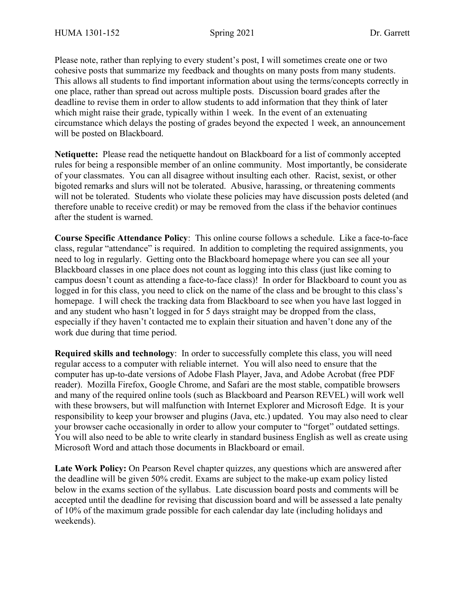Please note, rather than replying to every student's post, I will sometimes create one or two cohesive posts that summarize my feedback and thoughts on many posts from many students. This allows all students to find important information about using the terms/concepts correctly in one place, rather than spread out across multiple posts. Discussion board grades after the deadline to revise them in order to allow students to add information that they think of later which might raise their grade, typically within 1 week. In the event of an extenuating circumstance which delays the posting of grades beyond the expected 1 week, an announcement will be posted on Blackboard.

**Netiquette:** Please read the netiquette handout on Blackboard for a list of commonly accepted rules for being a responsible member of an online community. Most importantly, be considerate of your classmates. You can all disagree without insulting each other. Racist, sexist, or other bigoted remarks and slurs will not be tolerated. Abusive, harassing, or threatening comments will not be tolerated. Students who violate these policies may have discussion posts deleted (and therefore unable to receive credit) or may be removed from the class if the behavior continues after the student is warned.

**Course Specific Attendance Policy**: This online course follows a schedule. Like a face-to-face class, regular "attendance" is required. In addition to completing the required assignments, you need to log in regularly. Getting onto the Blackboard homepage where you can see all your Blackboard classes in one place does not count as logging into this class (just like coming to campus doesn't count as attending a face-to-face class)! In order for Blackboard to count you as logged in for this class, you need to click on the name of the class and be brought to this class's homepage. I will check the tracking data from Blackboard to see when you have last logged in and any student who hasn't logged in for 5 days straight may be dropped from the class, especially if they haven't contacted me to explain their situation and haven't done any of the work due during that time period.

**Required skills and technology**: In order to successfully complete this class, you will need regular access to a computer with reliable internet. You will also need to ensure that the computer has up-to-date versions of Adobe Flash Player, Java, and Adobe Acrobat (free PDF reader). Mozilla Firefox, Google Chrome, and Safari are the most stable, compatible browsers and many of the required online tools (such as Blackboard and Pearson REVEL) will work well with these browsers, but will malfunction with Internet Explorer and Microsoft Edge. It is your responsibility to keep your browser and plugins (Java, etc.) updated. You may also need to clear your browser cache occasionally in order to allow your computer to "forget" outdated settings. You will also need to be able to write clearly in standard business English as well as create using Microsoft Word and attach those documents in Blackboard or email.

**Late Work Policy:** On Pearson Revel chapter quizzes, any questions which are answered after the deadline will be given 50% credit. Exams are subject to the make-up exam policy listed below in the exams section of the syllabus. Late discussion board posts and comments will be accepted until the deadline for revising that discussion board and will be assessed a late penalty of 10% of the maximum grade possible for each calendar day late (including holidays and weekends).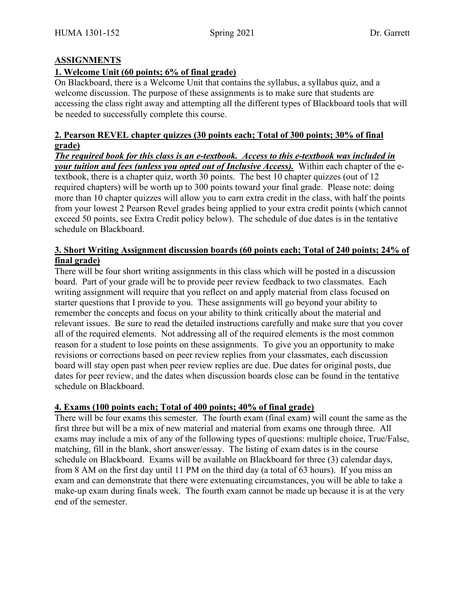### **ASSIGNMENTS**

### **1. Welcome Unit (60 points; 6% of final grade)**

On Blackboard, there is a Welcome Unit that contains the syllabus, a syllabus quiz, and a welcome discussion. The purpose of these assignments is to make sure that students are accessing the class right away and attempting all the different types of Blackboard tools that will be needed to successfully complete this course.

### **2. Pearson REVEL chapter quizzes (30 points each; Total of 300 points; 30% of final grade)**

*The required book for this class is an e-textbook. Access to this e-textbook was included in your tuition and fees (unless you opted out of Inclusive Access).* Within each chapter of the etextbook, there is a chapter quiz, worth 30 points. The best 10 chapter quizzes (out of 12 required chapters) will be worth up to 300 points toward your final grade. Please note: doing more than 10 chapter quizzes will allow you to earn extra credit in the class, with half the points from your lowest 2 Pearson Revel grades being applied to your extra credit points (which cannot exceed 50 points, see Extra Credit policy below). The schedule of due dates is in the tentative schedule on Blackboard.

### **3. Short Writing Assignment discussion boards (60 points each; Total of 240 points; 24% of final grade)**

There will be four short writing assignments in this class which will be posted in a discussion board. Part of your grade will be to provide peer review feedback to two classmates. Each writing assignment will require that you reflect on and apply material from class focused on starter questions that I provide to you. These assignments will go beyond your ability to remember the concepts and focus on your ability to think critically about the material and relevant issues. Be sure to read the detailed instructions carefully and make sure that you cover all of the required elements. Not addressing all of the required elements is the most common reason for a student to lose points on these assignments. To give you an opportunity to make revisions or corrections based on peer review replies from your classmates, each discussion board will stay open past when peer review replies are due. Due dates for original posts, due dates for peer review, and the dates when discussion boards close can be found in the tentative schedule on Blackboard.

#### **4. Exams (100 points each; Total of 400 points; 40% of final grade)**

There will be four exams this semester. The fourth exam (final exam) will count the same as the first three but will be a mix of new material and material from exams one through three. All exams may include a mix of any of the following types of questions: multiple choice, True/False, matching, fill in the blank, short answer/essay. The listing of exam dates is in the course schedule on Blackboard. Exams will be available on Blackboard for three (3) calendar days, from 8 AM on the first day until 11 PM on the third day (a total of 63 hours). If you miss an exam and can demonstrate that there were extenuating circumstances, you will be able to take a make-up exam during finals week. The fourth exam cannot be made up because it is at the very end of the semester.